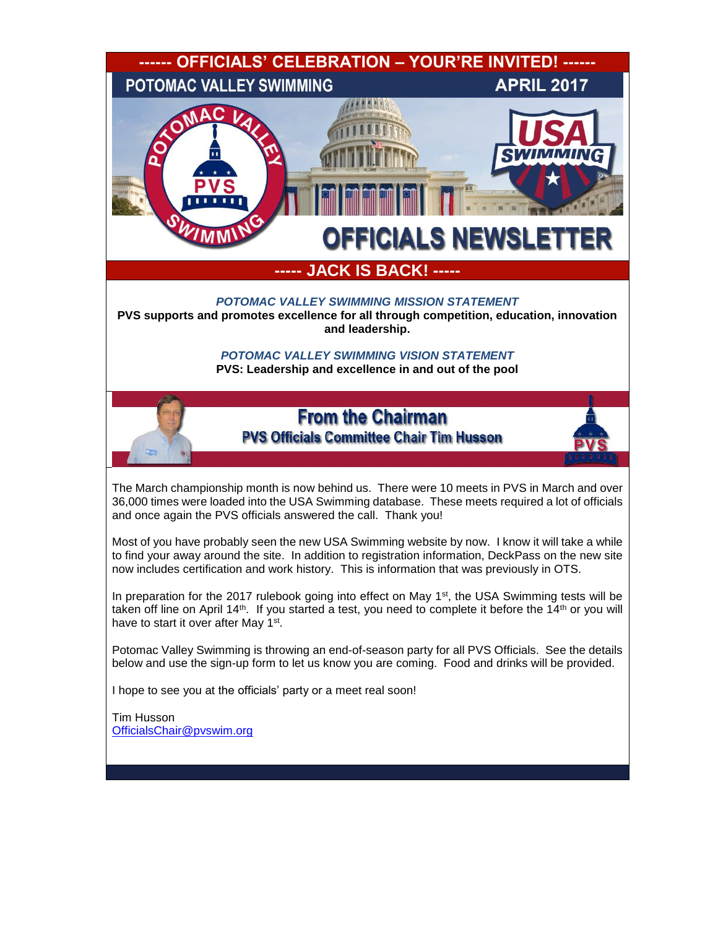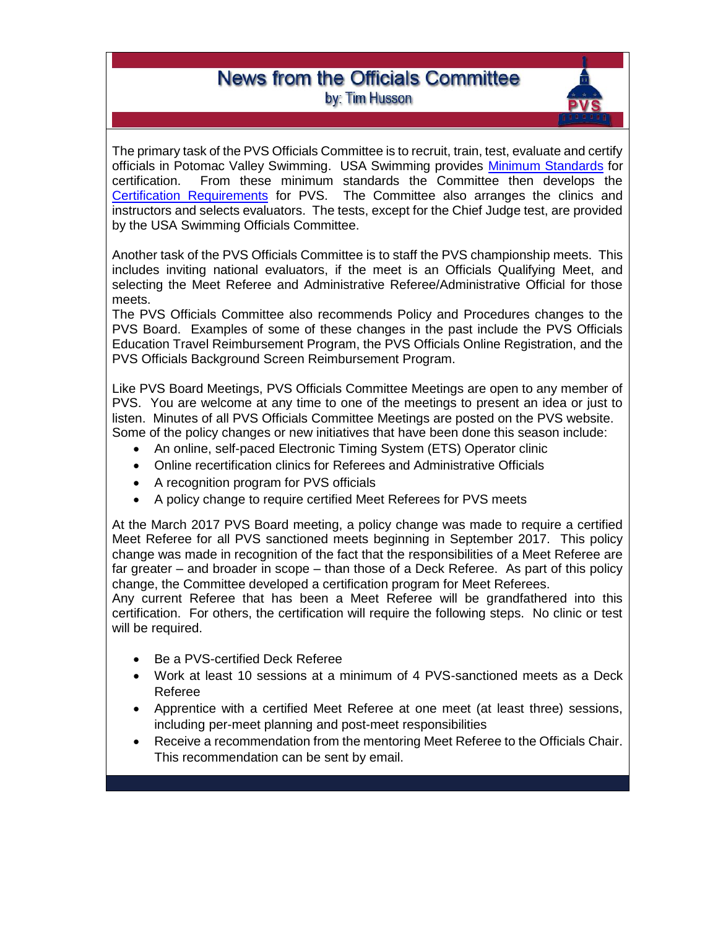## **News from the Officials Committee** by: Tim Husson

The primary task of the PVS Officials Committee is to recruit, train, test, evaluate and certify officials in Potomac Valley Swimming. USA Swimming provides [Minimum Standards](https://www.usaswimming.org/docs/default-source/officialsdocuments/officials-training-resources/lsc-and-general-certification-guidelines/minimum-standards-2016.pdf?sfvrsn=7) for certification. From these minimum standards the Committee then develops the [Certification Requirements](http://www.pvswim.org/official/certification.html) for PVS. The Committee also arranges the clinics and instructors and selects evaluators. The tests, except for the Chief Judge test, are provided by the USA Swimming Officials Committee.

Another task of the PVS Officials Committee is to staff the PVS championship meets. This includes inviting national evaluators, if the meet is an Officials Qualifying Meet, and selecting the Meet Referee and Administrative Referee/Administrative Official for those meets.

The PVS Officials Committee also recommends Policy and Procedures changes to the PVS Board. Examples of some of these changes in the past include the PVS Officials Education Travel Reimbursement Program, the PVS Officials Online Registration, and the PVS Officials Background Screen Reimbursement Program.

Like PVS Board Meetings, PVS Officials Committee Meetings are open to any member of PVS. You are welcome at any time to one of the meetings to present an idea or just to listen. Minutes of all PVS Officials Committee Meetings are posted on the PVS website. Some of the policy changes or new initiatives that have been done this season include:

- An online, self-paced Electronic Timing System (ETS) Operator clinic
- Online recertification clinics for Referees and Administrative Officials
- A recognition program for PVS officials
- A policy change to require certified Meet Referees for PVS meets

At the March 2017 PVS Board meeting, a policy change was made to require a certified Meet Referee for all PVS sanctioned meets beginning in September 2017. This policy change was made in recognition of the fact that the responsibilities of a Meet Referee are far greater – and broader in scope – than those of a Deck Referee. As part of this policy change, the Committee developed a certification program for Meet Referees.

Any current Referee that has been a Meet Referee will be grandfathered into this certification. For others, the certification will require the following steps. No clinic or test will be required.

- Be a PVS-certified Deck Referee
- Work at least 10 sessions at a minimum of 4 PVS-sanctioned meets as a Deck Referee
- Apprentice with a certified Meet Referee at one meet (at least three) sessions, including per-meet planning and post-meet responsibilities
- Receive a recommendation from the mentoring Meet Referee to the Officials Chair. This recommendation can be sent by email.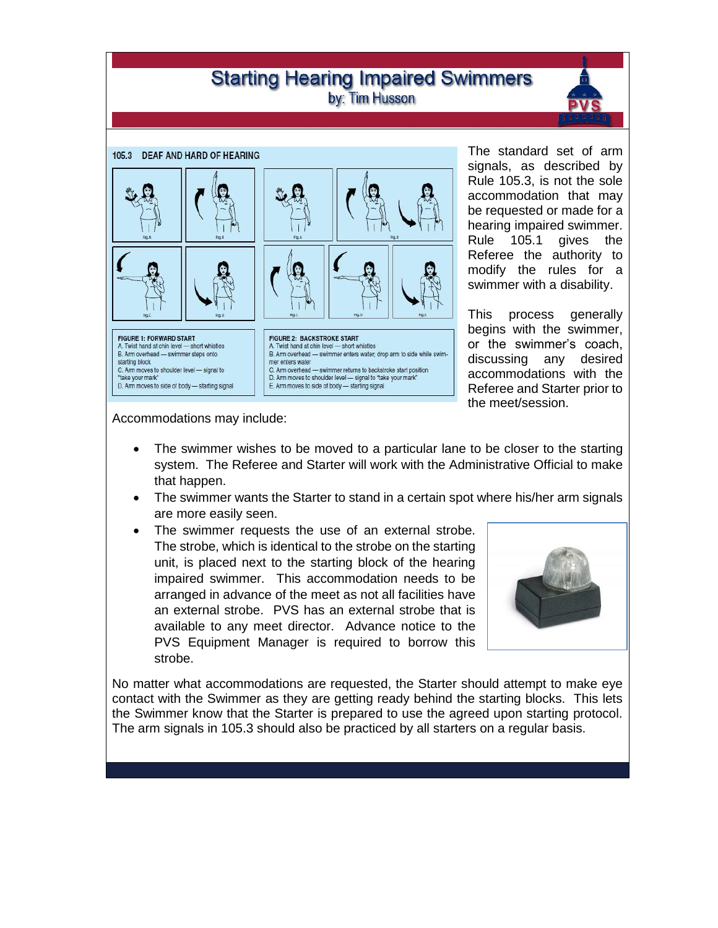# **Starting Hearing Impaired Swimmers** by: Tim Husson



The standard set of arm signals, as described by Rule 105.3, is not the sole accommodation that may be requested or made for a hearing impaired swimmer. Rule 105.1 gives the Referee the authority to modify the rules for a swimmer with a disability.

This process generally begins with the swimmer, or the swimmer's coach, discussing any desired accommodations with the Referee and Starter prior to the meet/session.

Accommodations may include:

- The swimmer wishes to be moved to a particular lane to be closer to the starting system. The Referee and Starter will work with the Administrative Official to make that happen.
- The swimmer wants the Starter to stand in a certain spot where his/her arm signals are more easily seen.
- The swimmer requests the use of an external strobe. The strobe, which is identical to the strobe on the starting unit, is placed next to the starting block of the hearing impaired swimmer. This accommodation needs to be arranged in advance of the meet as not all facilities have an external strobe. PVS has an external strobe that is available to any meet director. Advance notice to the PVS Equipment Manager is required to borrow this strobe.



No matter what accommodations are requested, the Starter should attempt to make eye contact with the Swimmer as they are getting ready behind the starting blocks. This lets the Swimmer know that the Starter is prepared to use the agreed upon starting protocol. The arm signals in 105.3 should also be practiced by all starters on a regular basis.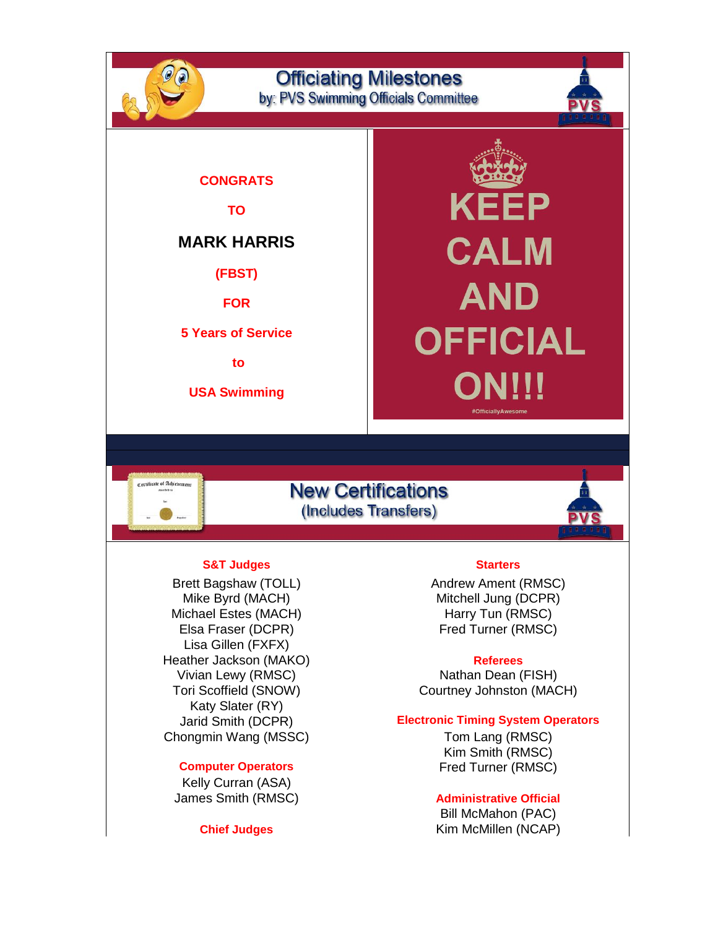

Elsa Fraser (DCPR) Fred Turner (RMSC) Lisa Gillen (FXFX) Heather Jackson (MAKO) **Referees** Vivian Lewy (RMSC) Nathan Dean (FISH) Katy Slater (RY) Chongmin Wang (MSSC) Tom Lang (RMSC)

Kelly Curran (ASA) James Smith (RMSC) **Administrative Official**

Tori Scoffield (SNOW) Courtney Johnston (MACH)

### Jarid Smith (DCPR) **Electronic Timing System Operators**

Kim Smith (RMSC) **Computer Operators Example 20 Fred Turner (RMSC)** 

Bill McMahon (PAC) **Chief Judges** Kim McMillen (NCAP)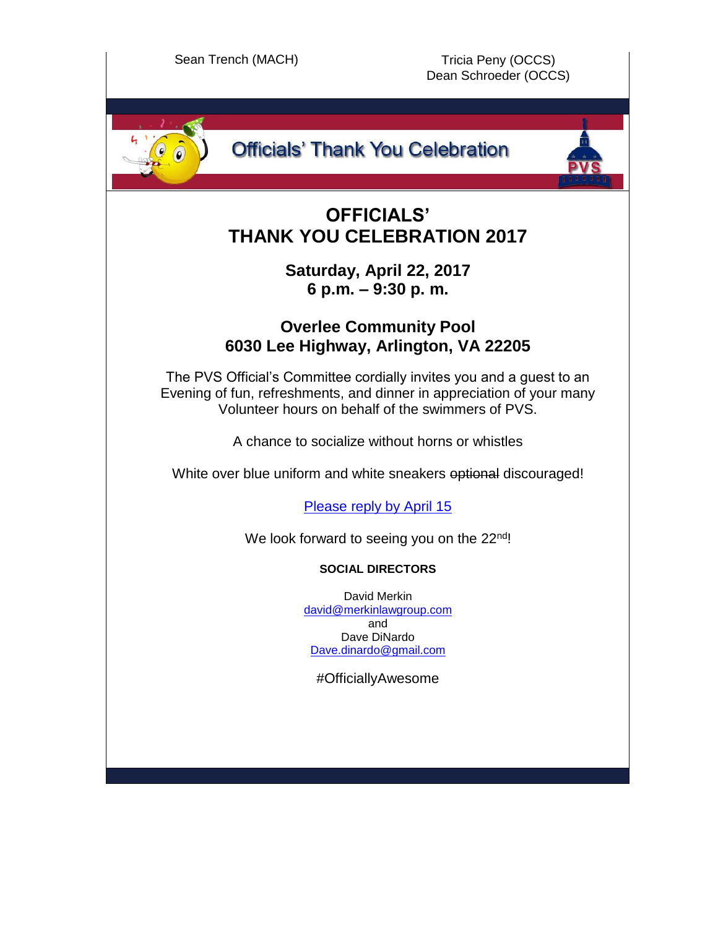

# **Officials' Thank You Celebration**

# **OFFICIALS' THANK YOU CELEBRATION 2017**

## **Saturday, April 22, 2017 6 p.m. – 9:30 p. m.**

# **Overlee Community Pool 6030 Lee Highway, Arlington, VA 22205**

The PVS Official's Committee cordially invites you and a guest to an Evening of fun, refreshments, and dinner in appreciation of your many Volunteer hours on behalf of the swimmers of PVS.

A chance to socialize without horns or whistles

White over blue uniform and white sneakers optional discouraged!

[Please reply by April 15](https://docs.google.com/forms/d/e/1FAIpQLSfNOKz5CMl95tW4YtrIllFy4OP6LM2TjknrPlRrUtJFOE5hrg/viewform)

We look forward to seeing you on the 22<sup>nd</sup>!

## **SOCIAL DIRECTORS**

David Merkin [david@merkinlawgroup.com](mailto:david@merkinlawgroup.com) and Dave DiNardo [Dave.dinardo@gmail.com](mailto:Dave.dinardo@gmail.com)

#OfficiallyAwesome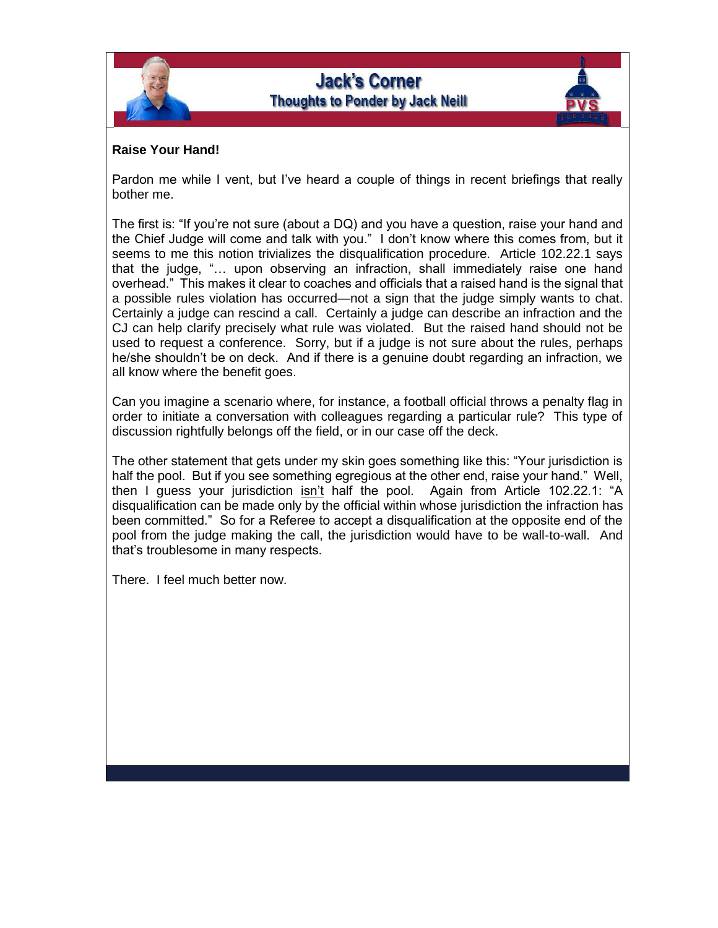

### **Raise Your Hand!**

Pardon me while I vent, but I've heard a couple of things in recent briefings that really bother me.

The first is: "If you're not sure (about a DQ) and you have a question, raise your hand and the Chief Judge will come and talk with you." I don't know where this comes from, but it seems to me this notion trivializes the disqualification procedure. Article 102.22.1 says that the judge, "… upon observing an infraction, shall immediately raise one hand overhead." This makes it clear to coaches and officials that a raised hand is the signal that a possible rules violation has occurred—not a sign that the judge simply wants to chat. Certainly a judge can rescind a call. Certainly a judge can describe an infraction and the CJ can help clarify precisely what rule was violated. But the raised hand should not be used to request a conference. Sorry, but if a judge is not sure about the rules, perhaps he/she shouldn't be on deck. And if there is a genuine doubt regarding an infraction, we all know where the benefit goes.

Can you imagine a scenario where, for instance, a football official throws a penalty flag in order to initiate a conversation with colleagues regarding a particular rule? This type of discussion rightfully belongs off the field, or in our case off the deck.

The other statement that gets under my skin goes something like this: "Your jurisdiction is half the pool. But if you see something egregious at the other end, raise your hand." Well, then I guess your jurisdiction isn't half the pool. Again from Article 102.22.1: "A disqualification can be made only by the official within whose jurisdiction the infraction has been committed." So for a Referee to accept a disqualification at the opposite end of the pool from the judge making the call, the jurisdiction would have to be wall-to-wall. And that's troublesome in many respects.

There. I feel much better now.